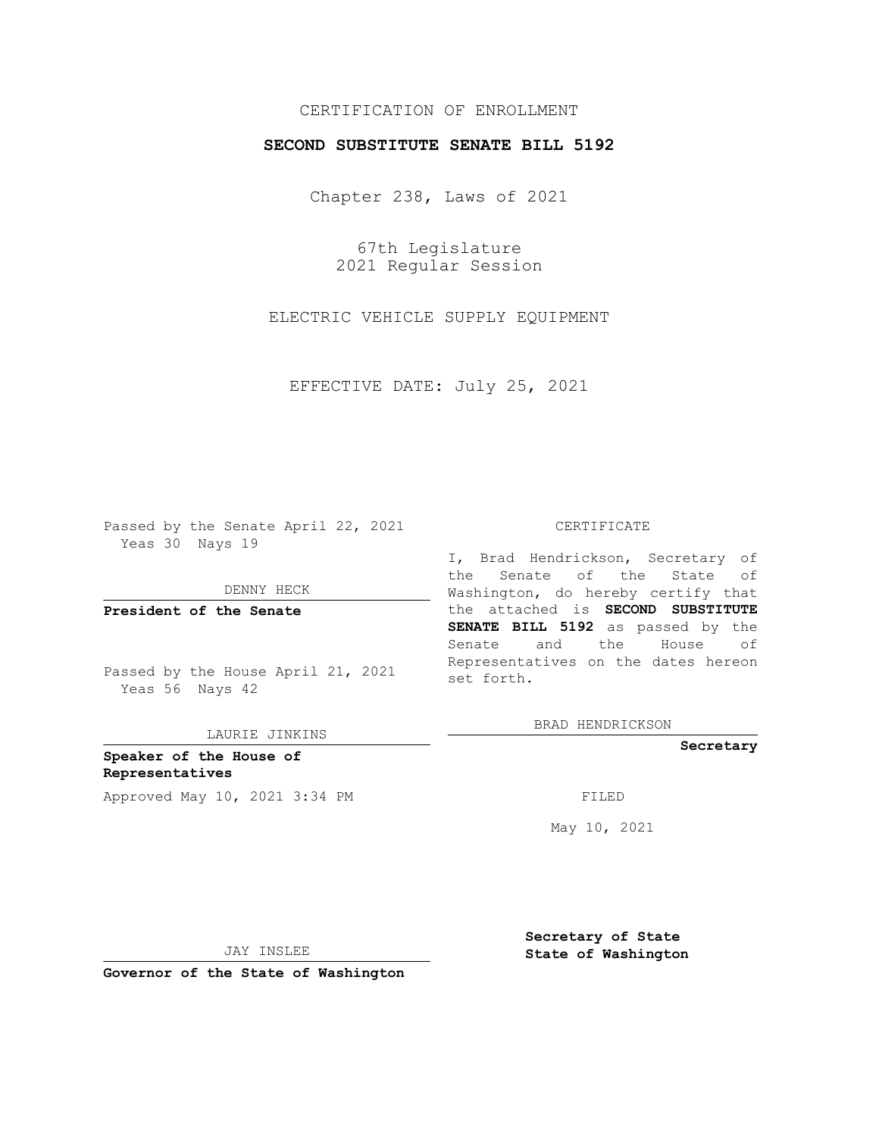## CERTIFICATION OF ENROLLMENT

### **SECOND SUBSTITUTE SENATE BILL 5192**

Chapter 238, Laws of 2021

67th Legislature 2021 Regular Session

ELECTRIC VEHICLE SUPPLY EQUIPMENT

EFFECTIVE DATE: July 25, 2021

Passed by the Senate April 22, 2021 Yeas 30 Nays 19

DENNY HECK

**President of the Senate**

Passed by the House April 21, 2021 Yeas 56 Nays 42

LAURIE JINKINS

**Speaker of the House of Representatives** Approved May 10, 2021 3:34 PM FILED

#### CERTIFICATE

I, Brad Hendrickson, Secretary of the Senate of the State of Washington, do hereby certify that the attached is **SECOND SUBSTITUTE SENATE BILL 5192** as passed by the Senate and the House of Representatives on the dates hereon set forth.

BRAD HENDRICKSON

**Secretary**

May 10, 2021

JAY INSLEE

**Secretary of State State of Washington**

**Governor of the State of Washington**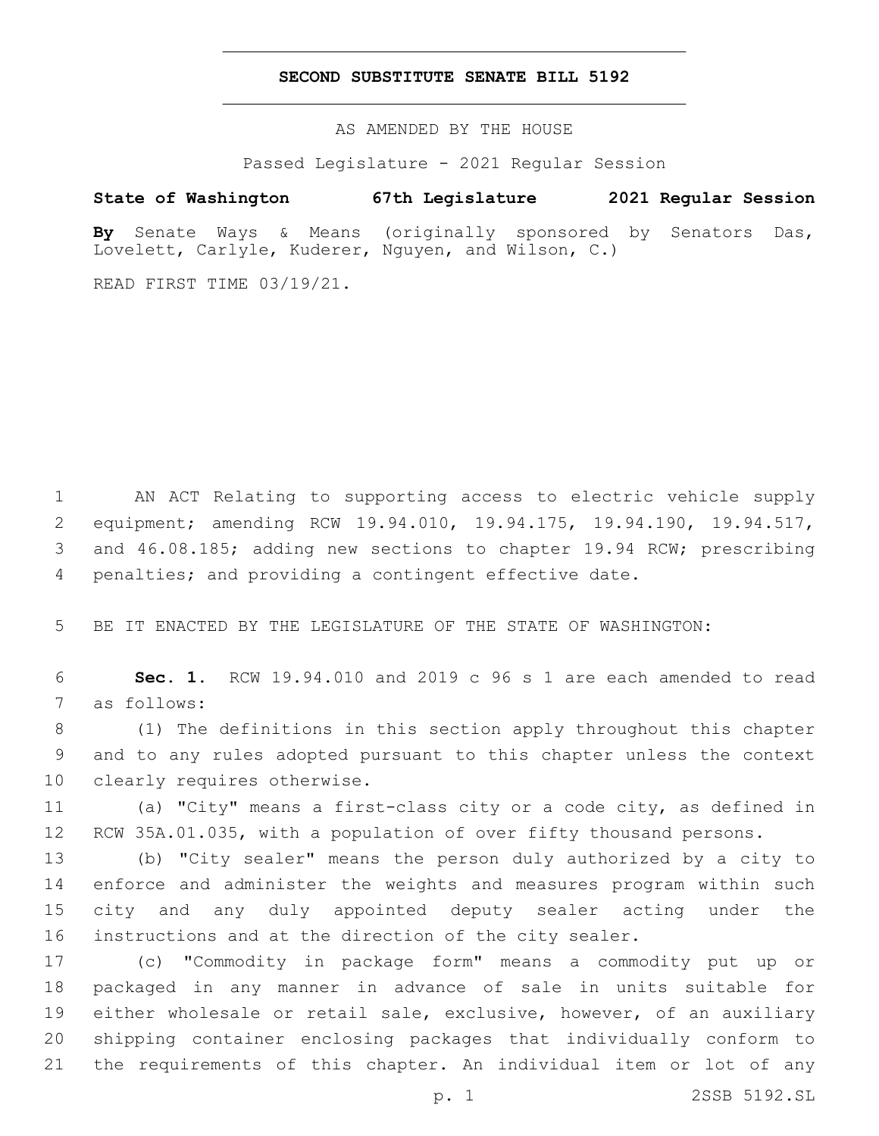### **SECOND SUBSTITUTE SENATE BILL 5192**

AS AMENDED BY THE HOUSE

Passed Legislature - 2021 Regular Session

# **State of Washington 67th Legislature 2021 Regular Session**

**By** Senate Ways & Means (originally sponsored by Senators Das, Lovelett, Carlyle, Kuderer, Nguyen, and Wilson, C.)

READ FIRST TIME 03/19/21.

 AN ACT Relating to supporting access to electric vehicle supply equipment; amending RCW 19.94.010, 19.94.175, 19.94.190, 19.94.517, and 46.08.185; adding new sections to chapter 19.94 RCW; prescribing penalties; and providing a contingent effective date.

BE IT ENACTED BY THE LEGISLATURE OF THE STATE OF WASHINGTON:

 **Sec. 1.** RCW 19.94.010 and 2019 c 96 s 1 are each amended to read 7 as follows:

 (1) The definitions in this section apply throughout this chapter and to any rules adopted pursuant to this chapter unless the context 10 clearly requires otherwise.

 (a) "City" means a first-class city or a code city, as defined in 12 RCW 35A.01.035, with a population of over fifty thousand persons.

 (b) "City sealer" means the person duly authorized by a city to enforce and administer the weights and measures program within such city and any duly appointed deputy sealer acting under the instructions and at the direction of the city sealer.

 (c) "Commodity in package form" means a commodity put up or packaged in any manner in advance of sale in units suitable for either wholesale or retail sale, exclusive, however, of an auxiliary shipping container enclosing packages that individually conform to the requirements of this chapter. An individual item or lot of any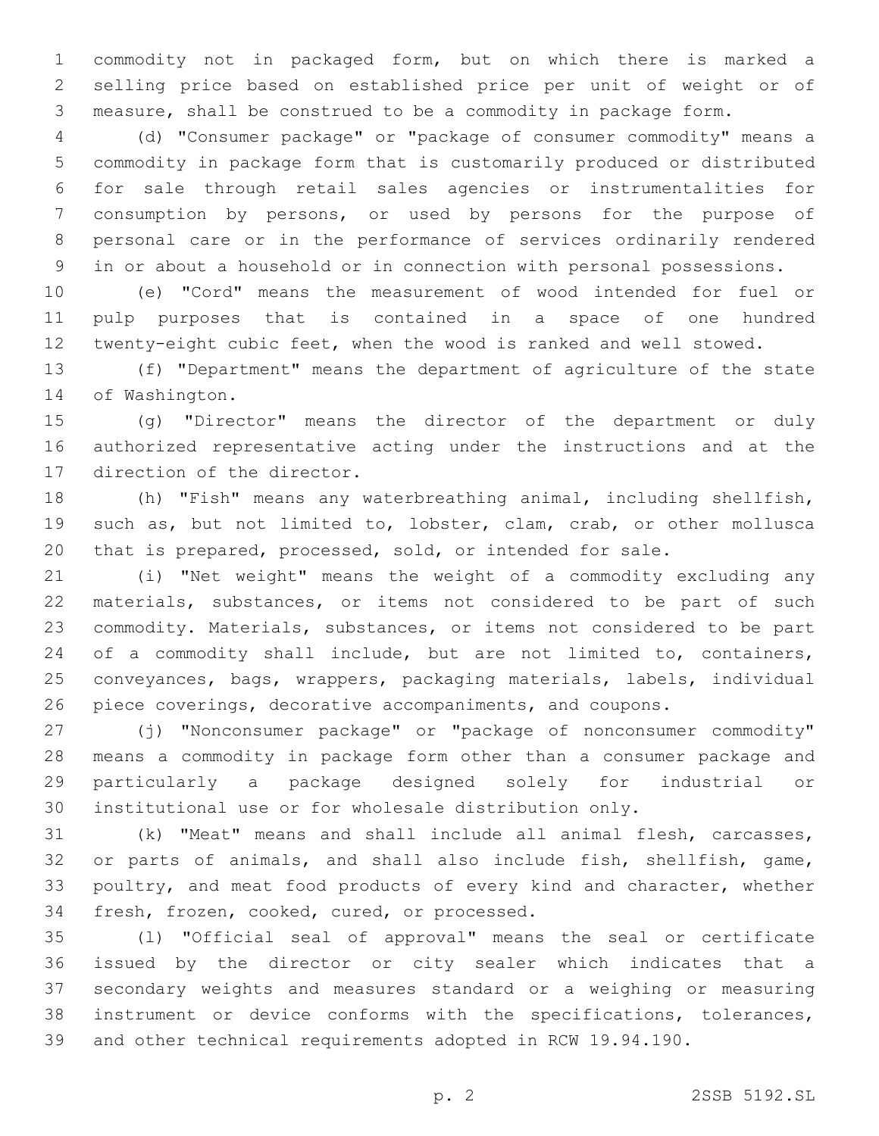commodity not in packaged form, but on which there is marked a selling price based on established price per unit of weight or of measure, shall be construed to be a commodity in package form.

 (d) "Consumer package" or "package of consumer commodity" means a commodity in package form that is customarily produced or distributed for sale through retail sales agencies or instrumentalities for consumption by persons, or used by persons for the purpose of personal care or in the performance of services ordinarily rendered in or about a household or in connection with personal possessions.

 (e) "Cord" means the measurement of wood intended for fuel or pulp purposes that is contained in a space of one hundred twenty-eight cubic feet, when the wood is ranked and well stowed.

 (f) "Department" means the department of agriculture of the state 14 of Washington.

 (g) "Director" means the director of the department or duly authorized representative acting under the instructions and at the 17 direction of the director.

 (h) "Fish" means any waterbreathing animal, including shellfish, such as, but not limited to, lobster, clam, crab, or other mollusca that is prepared, processed, sold, or intended for sale.

 (i) "Net weight" means the weight of a commodity excluding any materials, substances, or items not considered to be part of such commodity. Materials, substances, or items not considered to be part 24 of a commodity shall include, but are not limited to, containers, conveyances, bags, wrappers, packaging materials, labels, individual piece coverings, decorative accompaniments, and coupons.

 (j) "Nonconsumer package" or "package of nonconsumer commodity" means a commodity in package form other than a consumer package and particularly a package designed solely for industrial or institutional use or for wholesale distribution only.

 (k) "Meat" means and shall include all animal flesh, carcasses, or parts of animals, and shall also include fish, shellfish, game, poultry, and meat food products of every kind and character, whether 34 fresh, frozen, cooked, cured, or processed.

 (l) "Official seal of approval" means the seal or certificate issued by the director or city sealer which indicates that a secondary weights and measures standard or a weighing or measuring instrument or device conforms with the specifications, tolerances, and other technical requirements adopted in RCW 19.94.190.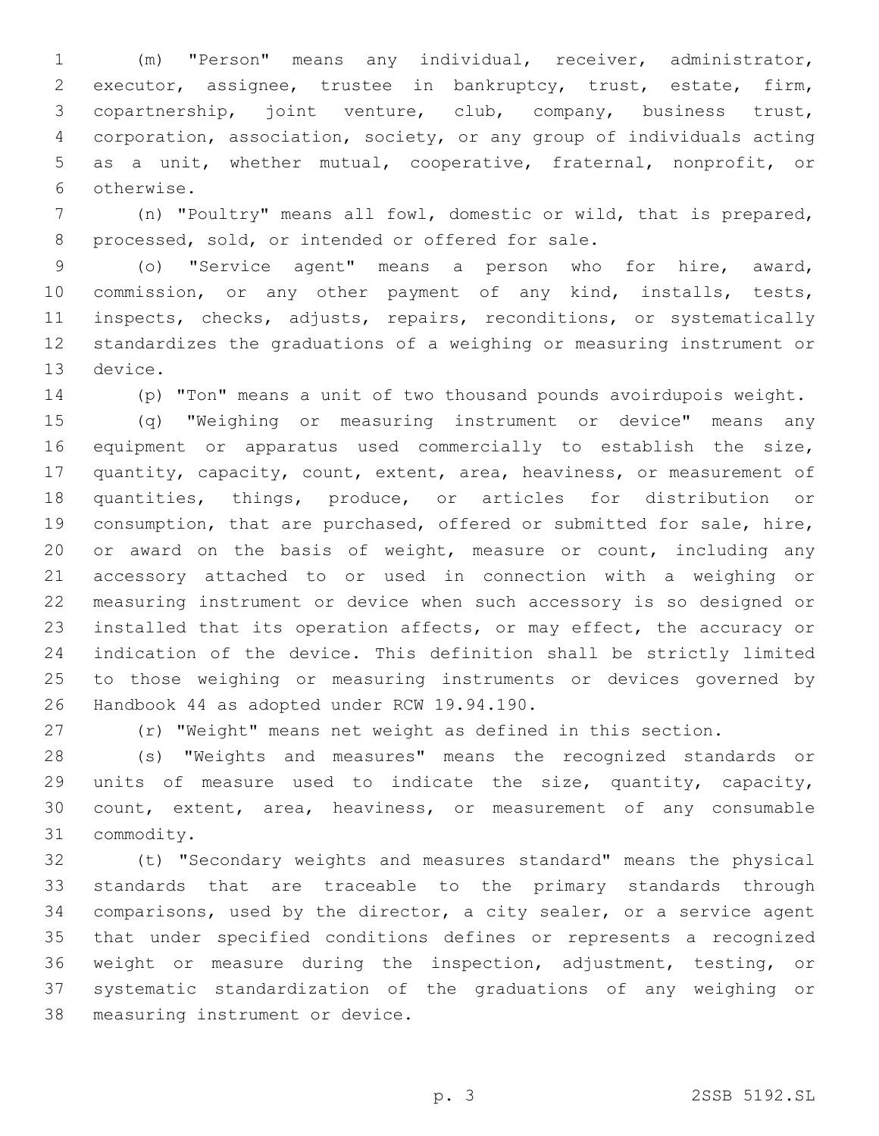(m) "Person" means any individual, receiver, administrator, executor, assignee, trustee in bankruptcy, trust, estate, firm, copartnership, joint venture, club, company, business trust, corporation, association, society, or any group of individuals acting as a unit, whether mutual, cooperative, fraternal, nonprofit, or 6 otherwise.

 (n) "Poultry" means all fowl, domestic or wild, that is prepared, 8 processed, sold, or intended or offered for sale.

 (o) "Service agent" means a person who for hire, award, commission, or any other payment of any kind, installs, tests, 11 inspects, checks, adjusts, repairs, reconditions, or systematically standardizes the graduations of a weighing or measuring instrument or 13 device.

(p) "Ton" means a unit of two thousand pounds avoirdupois weight.

 (q) "Weighing or measuring instrument or device" means any equipment or apparatus used commercially to establish the size, quantity, capacity, count, extent, area, heaviness, or measurement of quantities, things, produce, or articles for distribution or consumption, that are purchased, offered or submitted for sale, hire, or award on the basis of weight, measure or count, including any accessory attached to or used in connection with a weighing or measuring instrument or device when such accessory is so designed or installed that its operation affects, or may effect, the accuracy or indication of the device. This definition shall be strictly limited to those weighing or measuring instruments or devices governed by 26 Handbook 44 as adopted under RCW 19.94.190.

(r) "Weight" means net weight as defined in this section.

 (s) "Weights and measures" means the recognized standards or units of measure used to indicate the size, quantity, capacity, count, extent, area, heaviness, or measurement of any consumable 31 commodity.

 (t) "Secondary weights and measures standard" means the physical standards that are traceable to the primary standards through comparisons, used by the director, a city sealer, or a service agent that under specified conditions defines or represents a recognized weight or measure during the inspection, adjustment, testing, or systematic standardization of the graduations of any weighing or 38 measuring instrument or device.

p. 3 2SSB 5192.SL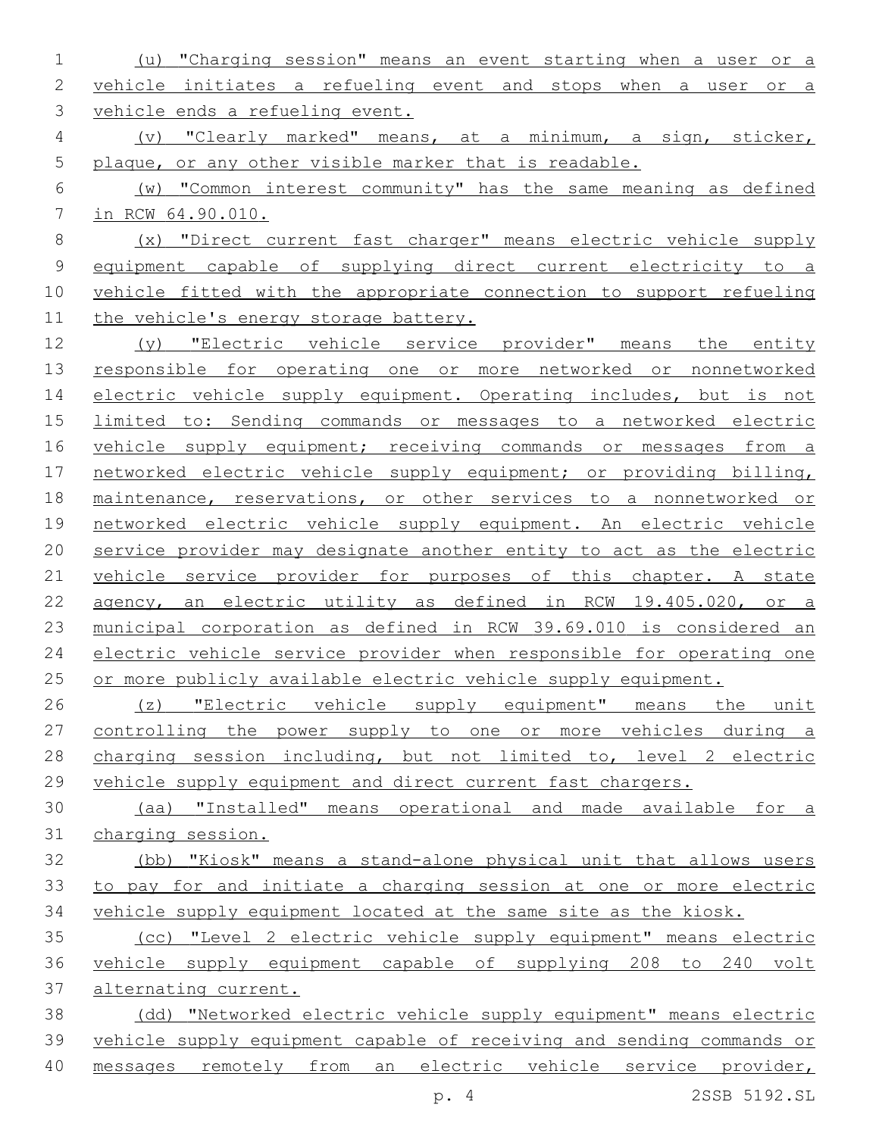(u) "Charging session" means an event starting when a user or a vehicle initiates a refueling event and stops when a user or a vehicle ends a refueling event. (v) "Clearly marked" means, at a minimum, a sign, sticker, 5 plaque, or any other visible marker that is readable. (w) "Common interest community" has the same meaning as defined in RCW 64.90.010. (x) "Direct current fast charger" means electric vehicle supply equipment capable of supplying direct current electricity to a vehicle fitted with the appropriate connection to support refueling 11 the vehicle's energy storage battery. (y) "Electric vehicle service provider" means the entity responsible for operating one or more networked or nonnetworked 14 electric vehicle supply equipment. Operating includes, but is not 15 limited to: Sending commands or messages to a networked electric 16 vehicle supply equipment; receiving commands or messages from a networked electric vehicle supply equipment; or providing billing, maintenance, reservations, or other services to a nonnetworked or networked electric vehicle supply equipment. An electric vehicle service provider may designate another entity to act as the electric 21 vehicle service provider for purposes of this chapter. A state agency, an electric utility as defined in RCW 19.405.020, or a municipal corporation as defined in RCW 39.69.010 is considered an electric vehicle service provider when responsible for operating one 25 or more publicly available electric vehicle supply equipment. 26 (z) "Electric vehicle supply equipment" means the unit controlling the power supply to one or more vehicles during a charging session including, but not limited to, level 2 electric vehicle supply equipment and direct current fast chargers. (aa) "Installed" means operational and made available for a charging session. (bb) "Kiosk" means a stand-alone physical unit that allows users to pay for and initiate a charging session at one or more electric vehicle supply equipment located at the same site as the kiosk. (cc) "Level 2 electric vehicle supply equipment" means electric vehicle supply equipment capable of supplying 208 to 240 volt alternating current. (dd) "Networked electric vehicle supply equipment" means electric vehicle supply equipment capable of receiving and sending commands or messages remotely from an electric vehicle service provider,

p. 4 2SSB 5192.SL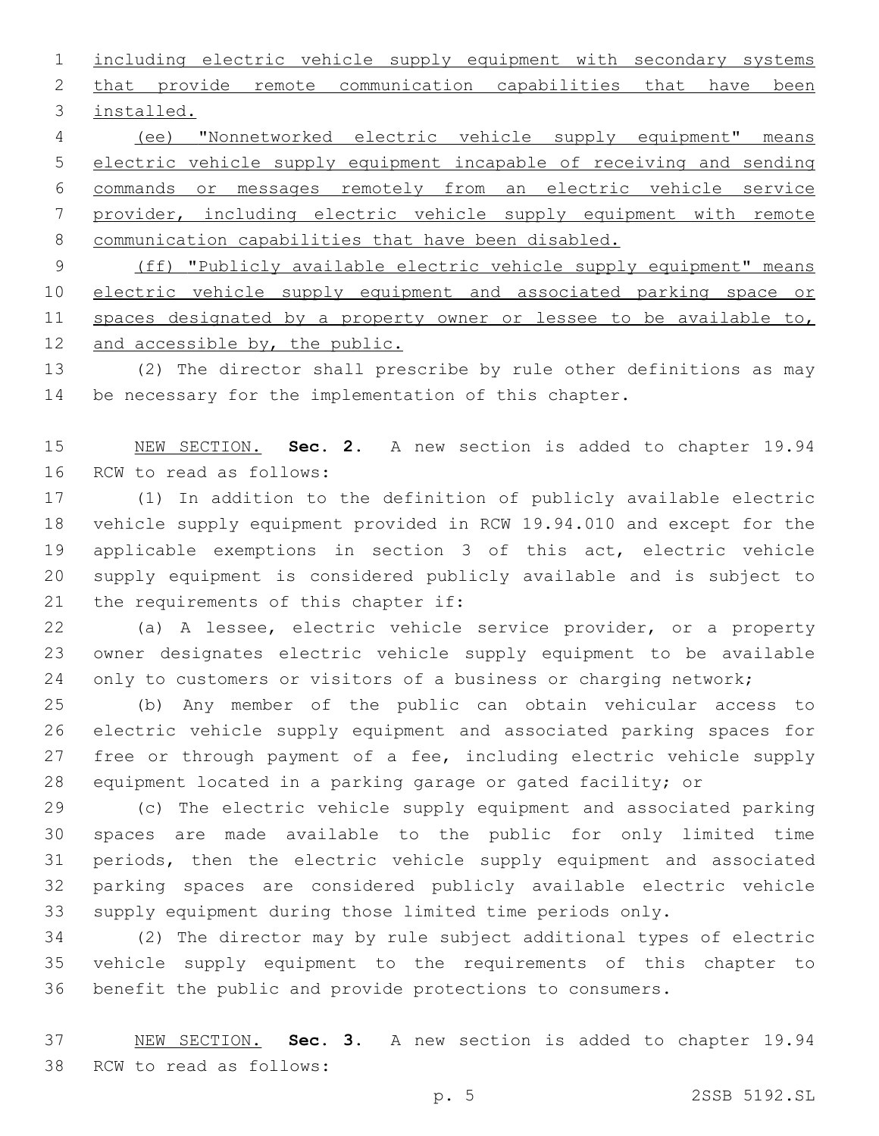including electric vehicle supply equipment with secondary systems 2 that provide remote communication capabilities that have been 3 installed.

 (ee) "Nonnetworked electric vehicle supply equipment" means electric vehicle supply equipment incapable of receiving and sending commands or messages remotely from an electric vehicle service provider, including electric vehicle supply equipment with remote communication capabilities that have been disabled. (ff) "Publicly available electric vehicle supply equipment" means

10 electric vehicle supply equipment and associated parking space or 11 spaces designated by a property owner or lessee to be available to, and accessible by, the public.

 (2) The director shall prescribe by rule other definitions as may 14 be necessary for the implementation of this chapter.

 NEW SECTION. **Sec. 2.** A new section is added to chapter 19.94 16 RCW to read as follows:

 (1) In addition to the definition of publicly available electric vehicle supply equipment provided in RCW 19.94.010 and except for the applicable exemptions in section 3 of this act, electric vehicle supply equipment is considered publicly available and is subject to 21 the requirements of this chapter if:

 (a) A lessee, electric vehicle service provider, or a property owner designates electric vehicle supply equipment to be available 24 only to customers or visitors of a business or charging network;

 (b) Any member of the public can obtain vehicular access to electric vehicle supply equipment and associated parking spaces for 27 free or through payment of a fee, including electric vehicle supply equipment located in a parking garage or gated facility; or

 (c) The electric vehicle supply equipment and associated parking spaces are made available to the public for only limited time periods, then the electric vehicle supply equipment and associated parking spaces are considered publicly available electric vehicle supply equipment during those limited time periods only.

 (2) The director may by rule subject additional types of electric vehicle supply equipment to the requirements of this chapter to benefit the public and provide protections to consumers.

 NEW SECTION. **Sec. 3.** A new section is added to chapter 19.94 38 RCW to read as follows: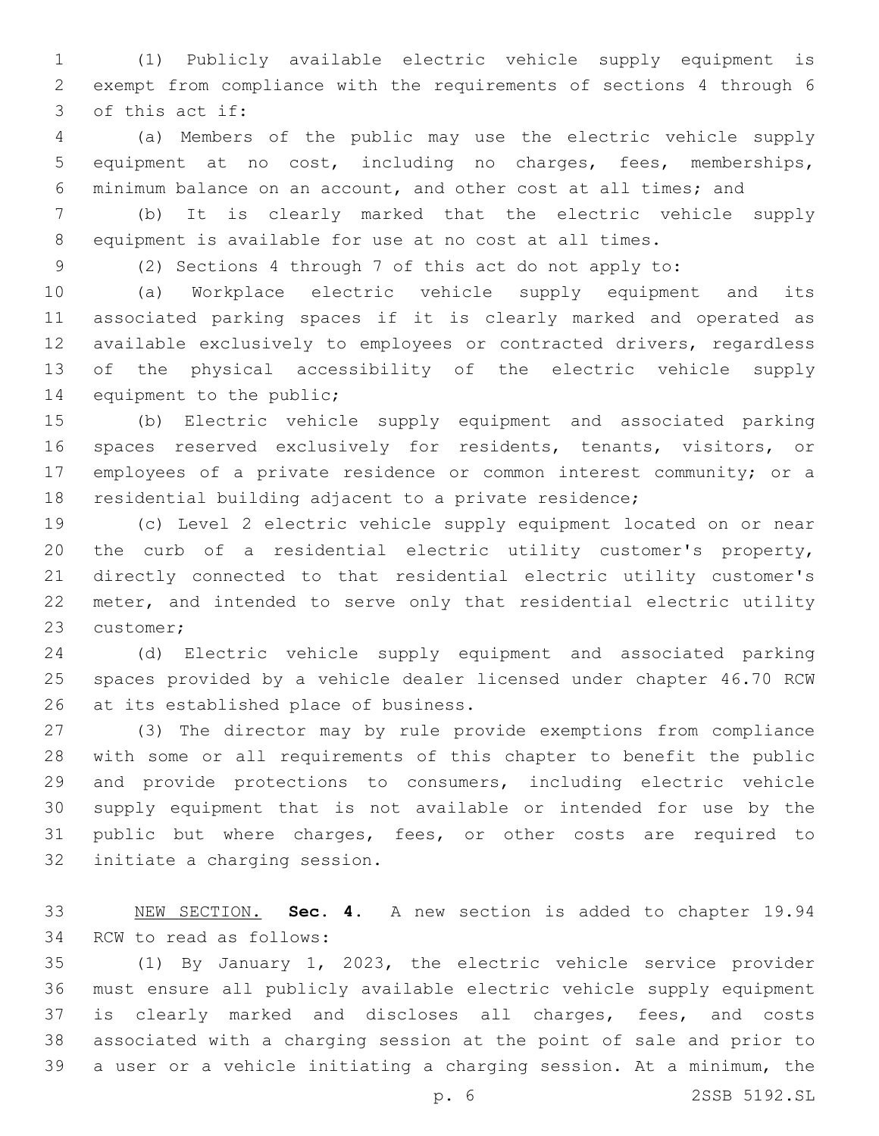(1) Publicly available electric vehicle supply equipment is exempt from compliance with the requirements of sections 4 through 6 3 of this act if:

 (a) Members of the public may use the electric vehicle supply equipment at no cost, including no charges, fees, memberships, minimum balance on an account, and other cost at all times; and

 (b) It is clearly marked that the electric vehicle supply equipment is available for use at no cost at all times.

(2) Sections 4 through 7 of this act do not apply to:

 (a) Workplace electric vehicle supply equipment and its associated parking spaces if it is clearly marked and operated as available exclusively to employees or contracted drivers, regardless of the physical accessibility of the electric vehicle supply 14 equipment to the public;

 (b) Electric vehicle supply equipment and associated parking spaces reserved exclusively for residents, tenants, visitors, or employees of a private residence or common interest community; or a residential building adjacent to a private residence;

 (c) Level 2 electric vehicle supply equipment located on or near the curb of a residential electric utility customer's property, directly connected to that residential electric utility customer's meter, and intended to serve only that residential electric utility 23 customer;

 (d) Electric vehicle supply equipment and associated parking spaces provided by a vehicle dealer licensed under chapter 46.70 RCW 26 at its established place of business.

 (3) The director may by rule provide exemptions from compliance with some or all requirements of this chapter to benefit the public and provide protections to consumers, including electric vehicle supply equipment that is not available or intended for use by the public but where charges, fees, or other costs are required to 32 initiate a charging session.

 NEW SECTION. **Sec. 4.** A new section is added to chapter 19.94 34 RCW to read as follows:

 (1) By January 1, 2023, the electric vehicle service provider must ensure all publicly available electric vehicle supply equipment is clearly marked and discloses all charges, fees, and costs associated with a charging session at the point of sale and prior to a user or a vehicle initiating a charging session. At a minimum, the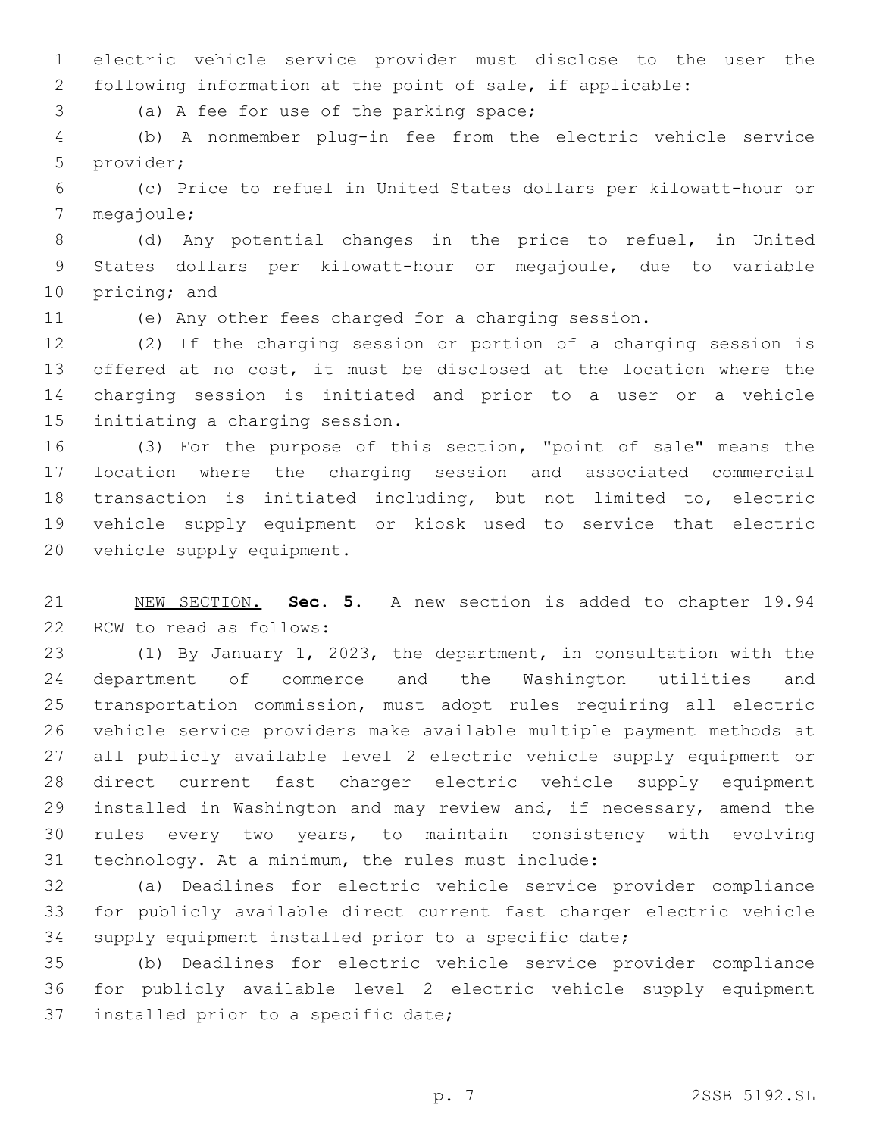electric vehicle service provider must disclose to the user the following information at the point of sale, if applicable:

3 (a) A fee for use of the parking space;

 (b) A nonmember plug-in fee from the electric vehicle service 5 provider;

 (c) Price to refuel in United States dollars per kilowatt-hour or 7 megajoule;

 (d) Any potential changes in the price to refuel, in United States dollars per kilowatt-hour or megajoule, due to variable 10 pricing; and

(e) Any other fees charged for a charging session.

 (2) If the charging session or portion of a charging session is offered at no cost, it must be disclosed at the location where the charging session is initiated and prior to a user or a vehicle 15 initiating a charging session.

 (3) For the purpose of this section, "point of sale" means the location where the charging session and associated commercial transaction is initiated including, but not limited to, electric vehicle supply equipment or kiosk used to service that electric 20 vehicle supply equipment.

 NEW SECTION. **Sec. 5.** A new section is added to chapter 19.94 22 RCW to read as follows:

 (1) By January 1, 2023, the department, in consultation with the department of commerce and the Washington utilities and transportation commission, must adopt rules requiring all electric vehicle service providers make available multiple payment methods at all publicly available level 2 electric vehicle supply equipment or direct current fast charger electric vehicle supply equipment installed in Washington and may review and, if necessary, amend the rules every two years, to maintain consistency with evolving 31 technology. At a minimum, the rules must include:

 (a) Deadlines for electric vehicle service provider compliance for publicly available direct current fast charger electric vehicle supply equipment installed prior to a specific date;

 (b) Deadlines for electric vehicle service provider compliance for publicly available level 2 electric vehicle supply equipment 37 installed prior to a specific date;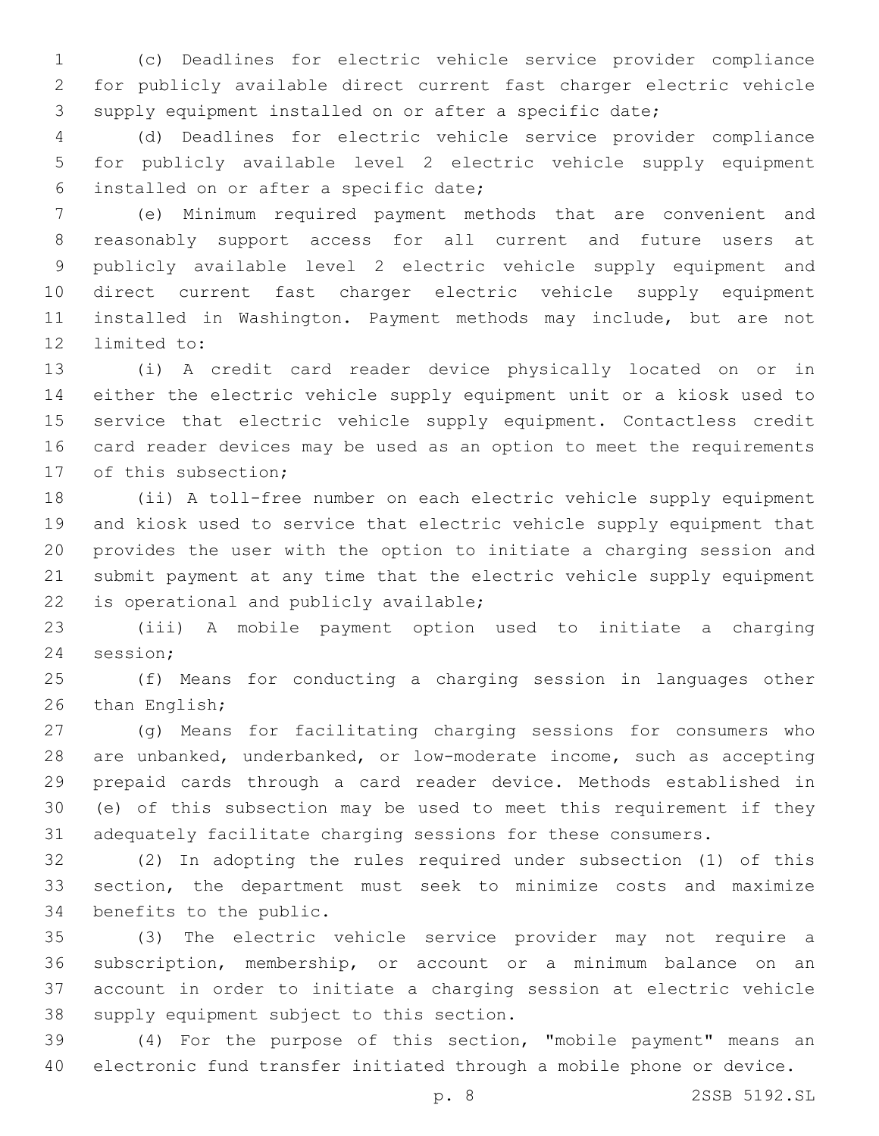(c) Deadlines for electric vehicle service provider compliance for publicly available direct current fast charger electric vehicle supply equipment installed on or after a specific date;

 (d) Deadlines for electric vehicle service provider compliance for publicly available level 2 electric vehicle supply equipment installed on or after a specific date;6

 (e) Minimum required payment methods that are convenient and reasonably support access for all current and future users at publicly available level 2 electric vehicle supply equipment and direct current fast charger electric vehicle supply equipment installed in Washington. Payment methods may include, but are not 12 limited to:

 (i) A credit card reader device physically located on or in either the electric vehicle supply equipment unit or a kiosk used to service that electric vehicle supply equipment. Contactless credit card reader devices may be used as an option to meet the requirements 17 of this subsection;

 (ii) A toll-free number on each electric vehicle supply equipment and kiosk used to service that electric vehicle supply equipment that provides the user with the option to initiate a charging session and submit payment at any time that the electric vehicle supply equipment 22 is operational and publicly available;

 (iii) A mobile payment option used to initiate a charging 24 session;

 (f) Means for conducting a charging session in languages other 26 than English;

 (g) Means for facilitating charging sessions for consumers who are unbanked, underbanked, or low-moderate income, such as accepting prepaid cards through a card reader device. Methods established in (e) of this subsection may be used to meet this requirement if they adequately facilitate charging sessions for these consumers.

 (2) In adopting the rules required under subsection (1) of this section, the department must seek to minimize costs and maximize 34 benefits to the public.

 (3) The electric vehicle service provider may not require a subscription, membership, or account or a minimum balance on an account in order to initiate a charging session at electric vehicle 38 supply equipment subject to this section.

 (4) For the purpose of this section, "mobile payment" means an electronic fund transfer initiated through a mobile phone or device.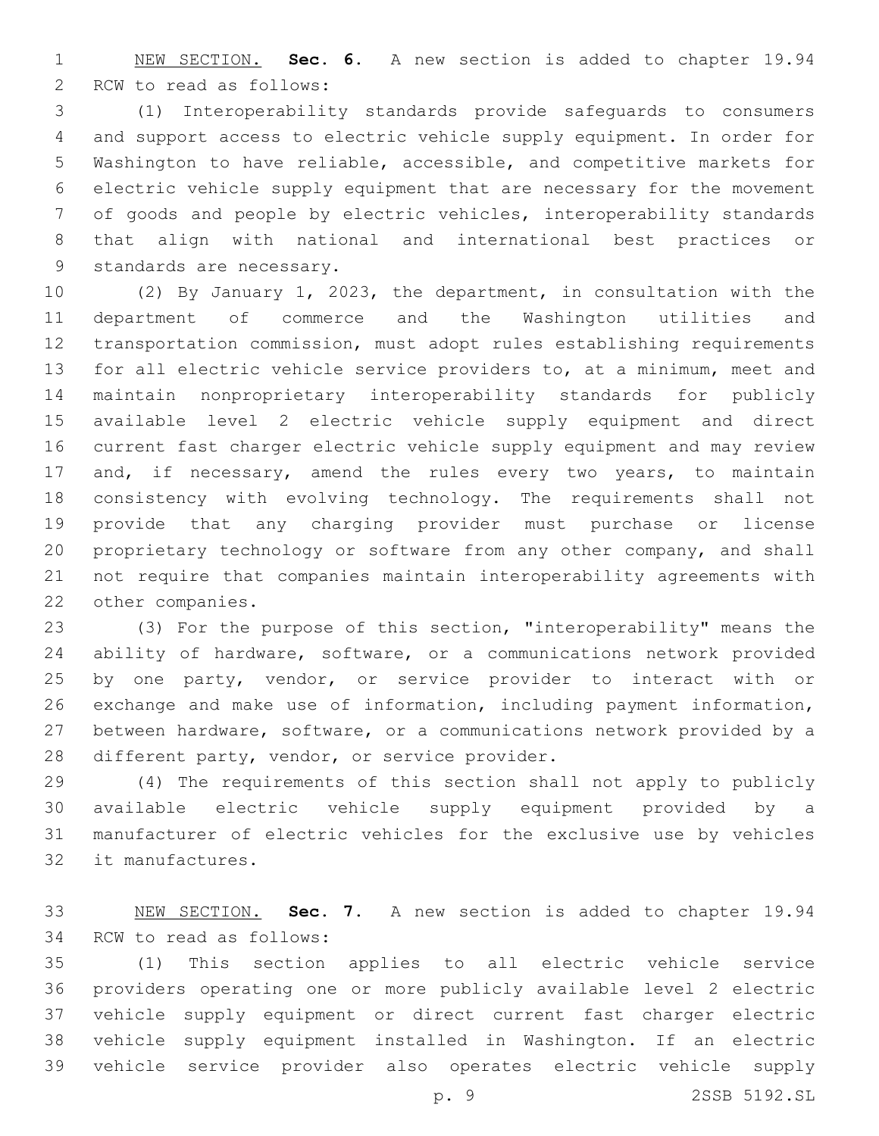NEW SECTION. **Sec. 6.** A new section is added to chapter 19.94 2 RCW to read as follows:

 (1) Interoperability standards provide safeguards to consumers and support access to electric vehicle supply equipment. In order for Washington to have reliable, accessible, and competitive markets for electric vehicle supply equipment that are necessary for the movement of goods and people by electric vehicles, interoperability standards that align with national and international best practices or 9 standards are necessary.

 (2) By January 1, 2023, the department, in consultation with the department of commerce and the Washington utilities and transportation commission, must adopt rules establishing requirements for all electric vehicle service providers to, at a minimum, meet and maintain nonproprietary interoperability standards for publicly available level 2 electric vehicle supply equipment and direct current fast charger electric vehicle supply equipment and may review 17 and, if necessary, amend the rules every two years, to maintain consistency with evolving technology. The requirements shall not provide that any charging provider must purchase or license proprietary technology or software from any other company, and shall not require that companies maintain interoperability agreements with 22 other companies.

 (3) For the purpose of this section, "interoperability" means the ability of hardware, software, or a communications network provided by one party, vendor, or service provider to interact with or exchange and make use of information, including payment information, between hardware, software, or a communications network provided by a 28 different party, vendor, or service provider.

 (4) The requirements of this section shall not apply to publicly available electric vehicle supply equipment provided by a manufacturer of electric vehicles for the exclusive use by vehicles 32 it manufactures.

 NEW SECTION. **Sec. 7.** A new section is added to chapter 19.94 34 RCW to read as follows:

 (1) This section applies to all electric vehicle service providers operating one or more publicly available level 2 electric vehicle supply equipment or direct current fast charger electric vehicle supply equipment installed in Washington. If an electric vehicle service provider also operates electric vehicle supply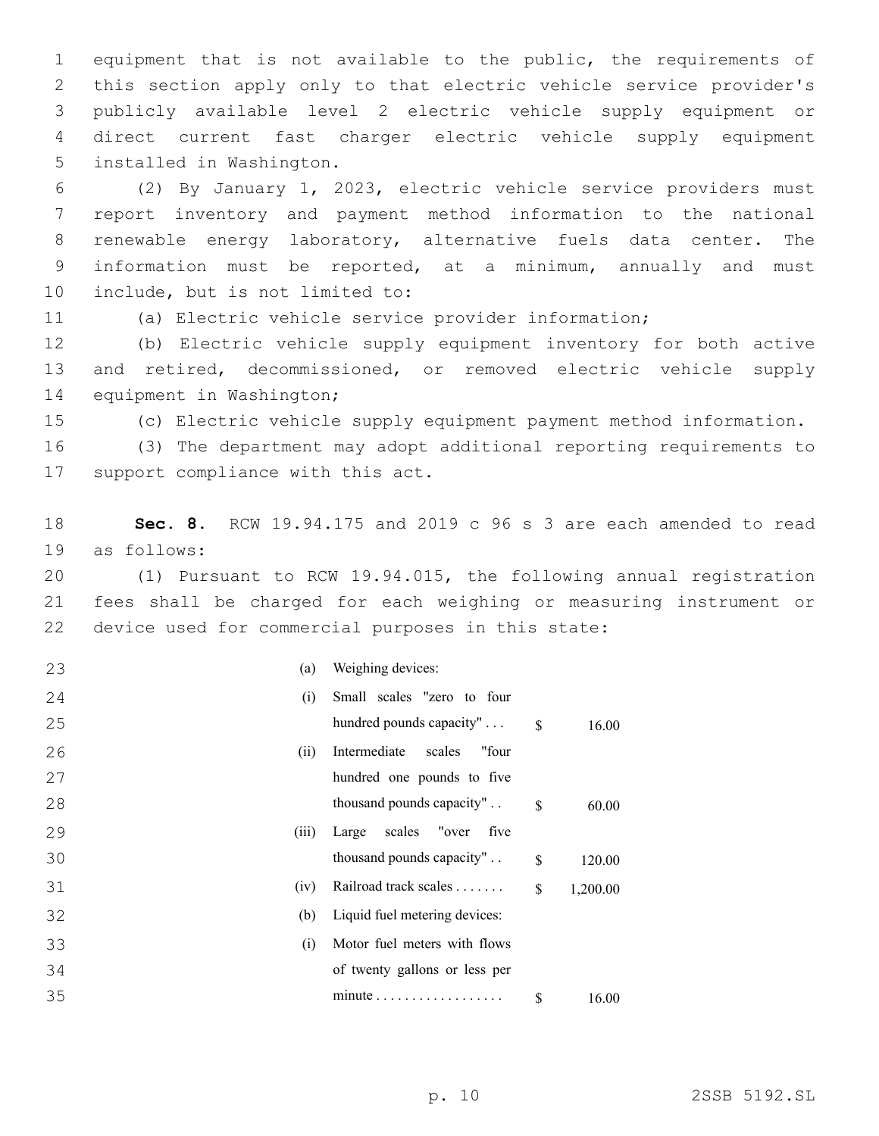equipment that is not available to the public, the requirements of this section apply only to that electric vehicle service provider's publicly available level 2 electric vehicle supply equipment or direct current fast charger electric vehicle supply equipment 5 installed in Washington.

 (2) By January 1, 2023, electric vehicle service providers must report inventory and payment method information to the national renewable energy laboratory, alternative fuels data center. The information must be reported, at a minimum, annually and must 10 include, but is not limited to:

(a) Electric vehicle service provider information;

 (b) Electric vehicle supply equipment inventory for both active and retired, decommissioned, or removed electric vehicle supply 14 equipment in Washington;

(c) Electric vehicle supply equipment payment method information.

 (3) The department may adopt additional reporting requirements to 17 support compliance with this act.

 **Sec. 8.** RCW 19.94.175 and 2019 c 96 s 3 are each amended to read 19 as follows:

 (1) Pursuant to RCW 19.94.015, the following annual registration fees shall be charged for each weighing or measuring instrument or device used for commercial purposes in this state:

| 23<br>(a)   | Weighing devices:               |               |          |
|-------------|---------------------------------|---------------|----------|
| (i)<br>24   | Small scales "zero to four      |               |          |
| 25          | hundred pounds capacity"        | $\mathcal{S}$ | 16.00    |
| 26<br>(ii)  | Intermediate<br>scales<br>"four |               |          |
| 27          | hundred one pounds to five      |               |          |
| 28          | thousand pounds capacity"       | \$            | 60.00    |
| 29<br>(iii) | Large scales "over<br>five      |               |          |
| 30          | thousand pounds capacity"       | \$            | 120.00   |
| 31<br>(iv)  | Railroad track scales           | \$            | 1,200.00 |
| 32<br>(b)   | Liquid fuel metering devices:   |               |          |
| 33<br>(i)   | Motor fuel meters with flows    |               |          |
| 34          | of twenty gallons or less per   |               |          |
| 35          |                                 | \$            | 16.00    |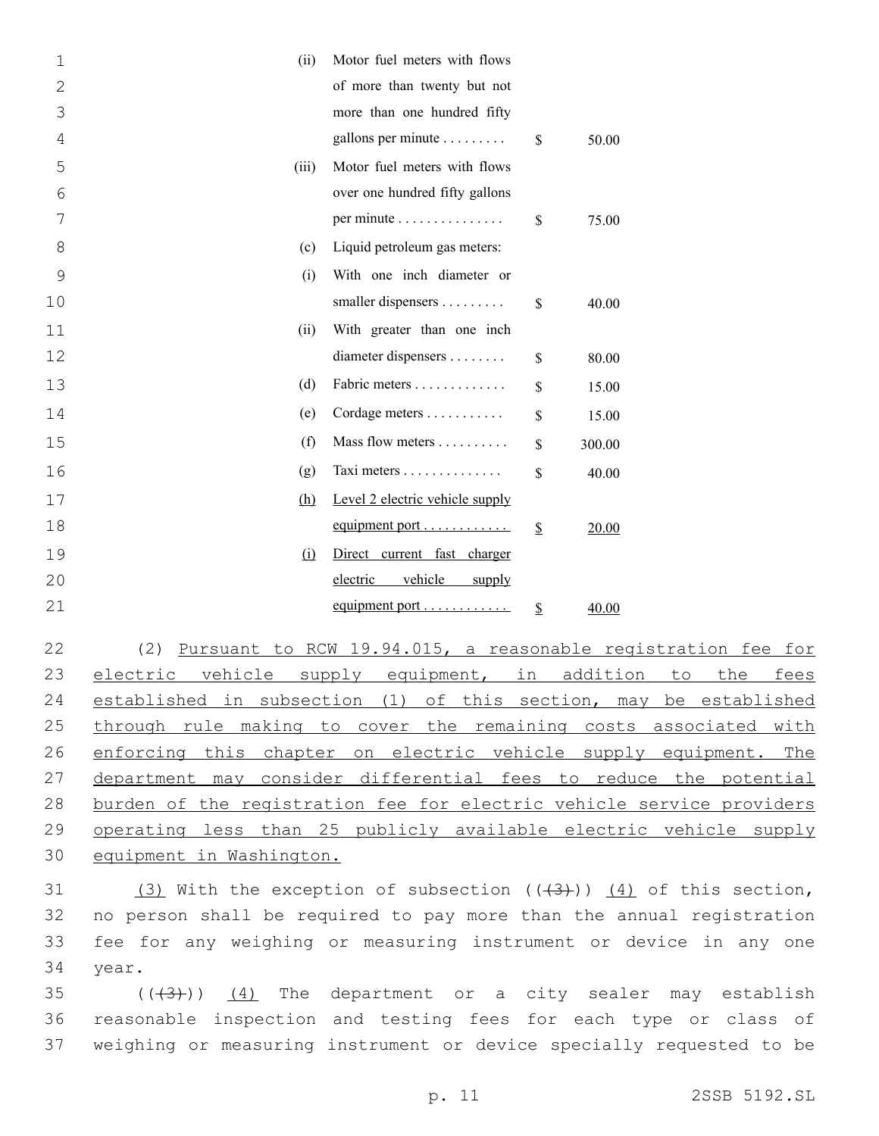| $\mathbf{1}$   | (ii)  | Motor fuel meters with flows          |              |
|----------------|-------|---------------------------------------|--------------|
| $\overline{2}$ |       | of more than twenty but not           |              |
| 3              |       | more than one hundred fifty           |              |
| 4              |       | gallons per minute                    | \$<br>50.00  |
| 5              | (iii) | Motor fuel meters with flows          |              |
| 6              |       | over one hundred fifty gallons        |              |
| 7              |       | per minute                            | \$<br>75.00  |
| 8              | (c)   | Liquid petroleum gas meters:          |              |
| 9              | (i)   | With one inch diameter or             |              |
| 10             |       | smaller dispensers                    | \$<br>40.00  |
| 11             | (ii)  | With greater than one inch            |              |
| 12             |       | diameter dispensers                   | \$<br>80.00  |
| 13             | (d)   | Fabric meters                         | \$<br>15.00  |
| 14             | (e)   | Cordage meters                        | \$<br>15.00  |
| 15             | (f)   | Mass flow meters                      | \$<br>300.00 |
| 16             | (g)   | Taxi meters                           | \$<br>40.00  |
| 17             | (h)   | Level 2 electric vehicle supply       |              |
| 18             |       | equipment port                        | \$<br>20.00  |
| 19             | (i)   | Direct current fast charger           |              |
| 20             |       | vehicle<br>electric<br>supply         |              |
| 21             |       | equipment port $\dots\dots\dots\dots$ | \$<br>40.00  |
|                |       |                                       |              |

 (2) Pursuant to RCW 19.94.015, a reasonable registration fee for 23 electric vehicle supply equipment, in addition to the fees established in subsection (1) of this section, may be established 25 through rule making to cover the remaining costs associated with 26 enforcing this chapter on electric vehicle supply equipment. The department may consider differential fees to reduce the potential burden of the registration fee for electric vehicle service providers operating less than 25 publicly available electric vehicle supply equipment in Washington.

31 (3) With the exception of subsection  $((+3))$   $(4)$  of this section, 32 no person shall be required to pay more than the annual registration 33 fee for any weighing or measuring instrument or device in any one 34 year.

35  $((+3+))$   $(4)$  The department or a city sealer may establish 36 reasonable inspection and testing fees for each type or class of 37 weighing or measuring instrument or device specially requested to be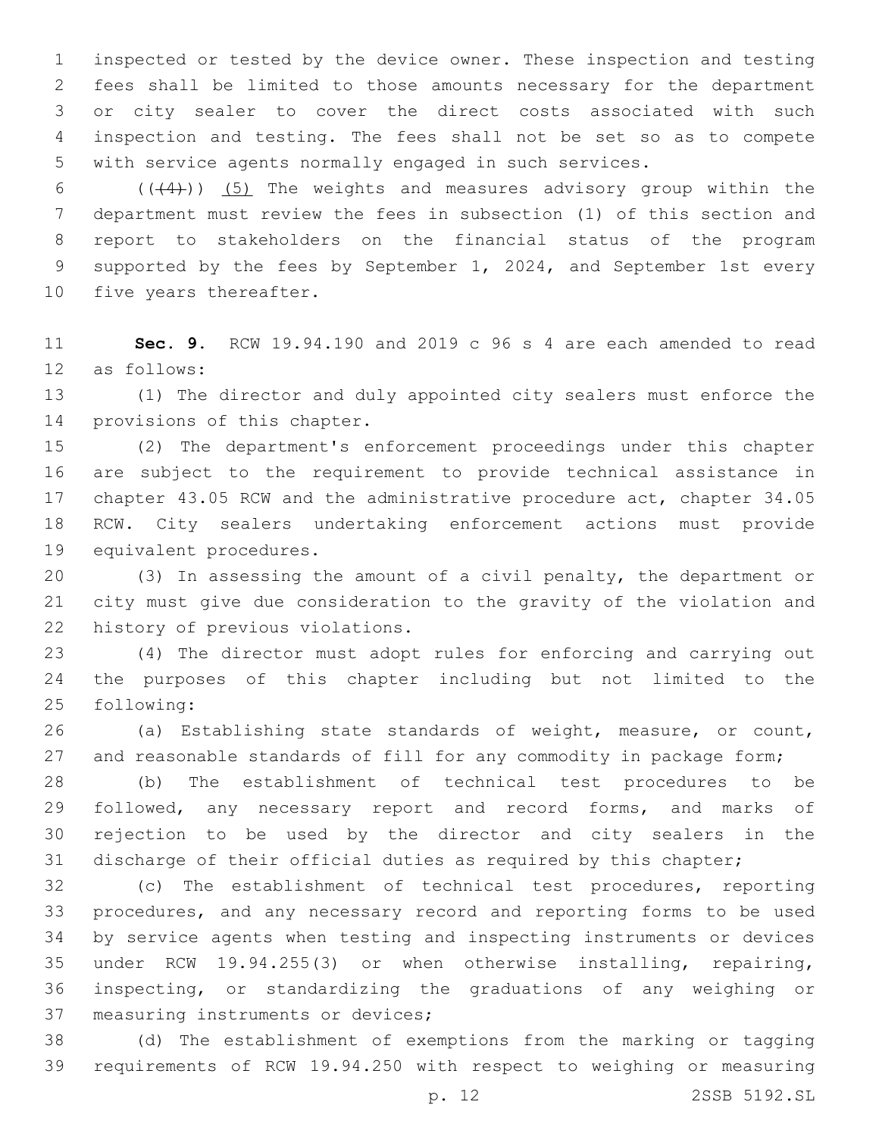inspected or tested by the device owner. These inspection and testing fees shall be limited to those amounts necessary for the department or city sealer to cover the direct costs associated with such inspection and testing. The fees shall not be set so as to compete with service agents normally engaged in such services.

 $((+4))$   $(5)$  The weights and measures advisory group within the department must review the fees in subsection (1) of this section and report to stakeholders on the financial status of the program supported by the fees by September 1, 2024, and September 1st every 10 five years thereafter.

 **Sec. 9.** RCW 19.94.190 and 2019 c 96 s 4 are each amended to read 12 as follows:

 (1) The director and duly appointed city sealers must enforce the 14 provisions of this chapter.

 (2) The department's enforcement proceedings under this chapter are subject to the requirement to provide technical assistance in chapter 43.05 RCW and the administrative procedure act, chapter 34.05 RCW. City sealers undertaking enforcement actions must provide 19 equivalent procedures.

 (3) In assessing the amount of a civil penalty, the department or city must give due consideration to the gravity of the violation and 22 history of previous violations.

 (4) The director must adopt rules for enforcing and carrying out the purposes of this chapter including but not limited to the following:25

 (a) Establishing state standards of weight, measure, or count, 27 and reasonable standards of fill for any commodity in package form;

 (b) The establishment of technical test procedures to be 29 followed, any necessary report and record forms, and marks of rejection to be used by the director and city sealers in the discharge of their official duties as required by this chapter;

 (c) The establishment of technical test procedures, reporting procedures, and any necessary record and reporting forms to be used by service agents when testing and inspecting instruments or devices under RCW 19.94.255(3) or when otherwise installing, repairing, inspecting, or standardizing the graduations of any weighing or 37 measuring instruments or devices;

 (d) The establishment of exemptions from the marking or tagging requirements of RCW 19.94.250 with respect to weighing or measuring

p. 12 2SSB 5192.SL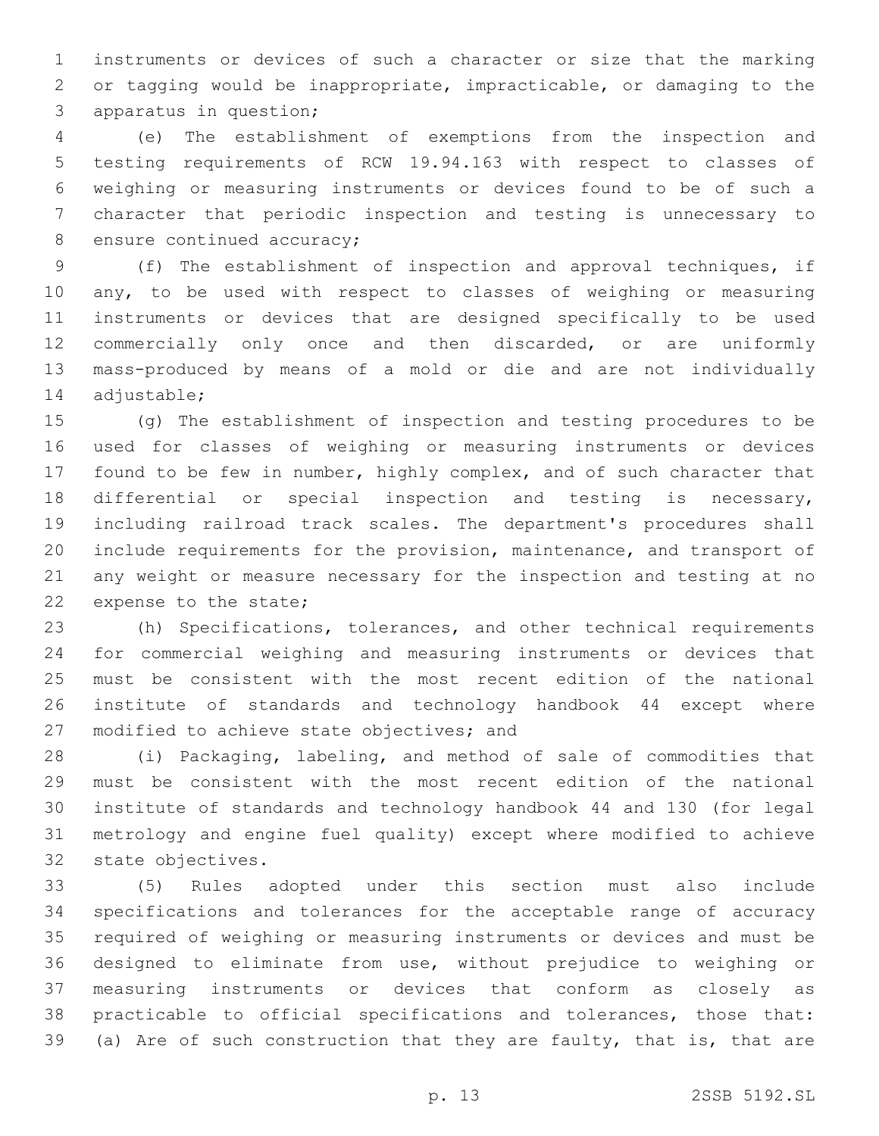instruments or devices of such a character or size that the marking or tagging would be inappropriate, impracticable, or damaging to the 3 apparatus in question;

 (e) The establishment of exemptions from the inspection and testing requirements of RCW 19.94.163 with respect to classes of weighing or measuring instruments or devices found to be of such a character that periodic inspection and testing is unnecessary to 8 ensure continued accuracy;

 (f) The establishment of inspection and approval techniques, if any, to be used with respect to classes of weighing or measuring instruments or devices that are designed specifically to be used commercially only once and then discarded, or are uniformly mass-produced by means of a mold or die and are not individually 14 adjustable;

 (g) The establishment of inspection and testing procedures to be used for classes of weighing or measuring instruments or devices found to be few in number, highly complex, and of such character that differential or special inspection and testing is necessary, including railroad track scales. The department's procedures shall include requirements for the provision, maintenance, and transport of any weight or measure necessary for the inspection and testing at no 22 expense to the state;

 (h) Specifications, tolerances, and other technical requirements for commercial weighing and measuring instruments or devices that must be consistent with the most recent edition of the national institute of standards and technology handbook 44 except where 27 modified to achieve state objectives; and

 (i) Packaging, labeling, and method of sale of commodities that must be consistent with the most recent edition of the national institute of standards and technology handbook 44 and 130 (for legal metrology and engine fuel quality) except where modified to achieve 32 state objectives.

 (5) Rules adopted under this section must also include specifications and tolerances for the acceptable range of accuracy required of weighing or measuring instruments or devices and must be designed to eliminate from use, without prejudice to weighing or measuring instruments or devices that conform as closely as practicable to official specifications and tolerances, those that: (a) Are of such construction that they are faulty, that is, that are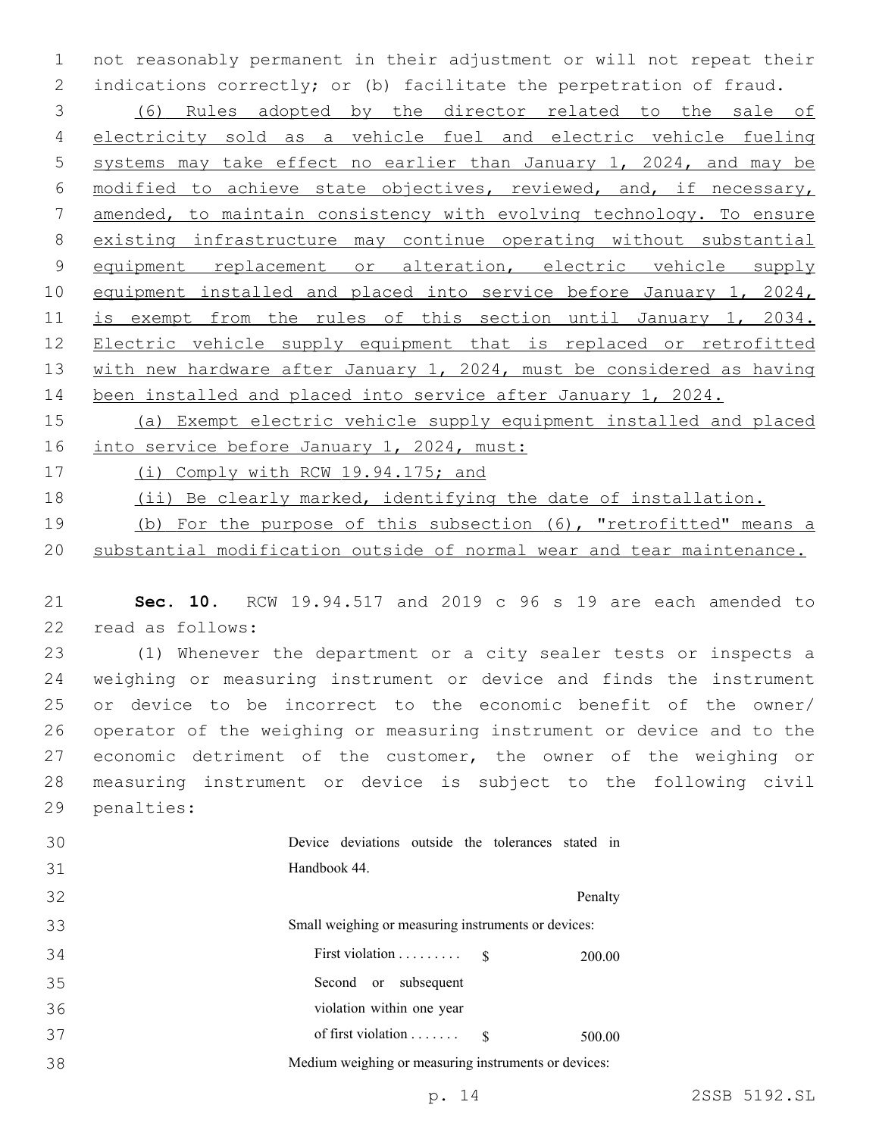not reasonably permanent in their adjustment or will not repeat their indications correctly; or (b) facilitate the perpetration of fraud.

 (6) Rules adopted by the director related to the sale of electricity sold as a vehicle fuel and electric vehicle fueling systems may take effect no earlier than January 1, 2024, and may be modified to achieve state objectives, reviewed, and, if necessary, amended, to maintain consistency with evolving technology. To ensure existing infrastructure may continue operating without substantial 9 equipment replacement or alteration, electric vehicle supply 10 equipment installed and placed into service before January 1, 2024, is exempt from the rules of this section until January 1, 2034. Electric vehicle supply equipment that is replaced or retrofitted with new hardware after January 1, 2024, must be considered as having been installed and placed into service after January 1, 2024.

 (a) Exempt electric vehicle supply equipment installed and placed 16 into service before January 1, 2024, must:

(i) Comply with RCW 19.94.175; and

- (ii) Be clearly marked, identifying the date of installation.
- (b) For the purpose of this subsection (6), "retrofitted" means a
- substantial modification outside of normal wear and tear maintenance.

 **Sec. 10.** RCW 19.94.517 and 2019 c 96 s 19 are each amended to 22 read as follows:

 (1) Whenever the department or a city sealer tests or inspects a weighing or measuring instrument or device and finds the instrument or device to be incorrect to the economic benefit of the owner/ operator of the weighing or measuring instrument or device and to the 27 economic detriment of the customer, the owner of the weighing or measuring instrument or device is subject to the following civil 29 penalties:

| 30 | Device deviations outside the tolerances stated in   |         |
|----|------------------------------------------------------|---------|
| 31 | Handbook 44.                                         |         |
| 32 |                                                      | Penalty |
| 33 | Small weighing or measuring instruments or devices:  |         |
| 34 | First violation $\ldots \ldots \ldots$ \$            | 200.00  |
| 35 | Second or subsequent                                 |         |
| 36 | violation within one year                            |         |
| 37 | of first violation $\dots \dots$ \$                  | 500.00  |
| 38 | Medium weighing or measuring instruments or devices: |         |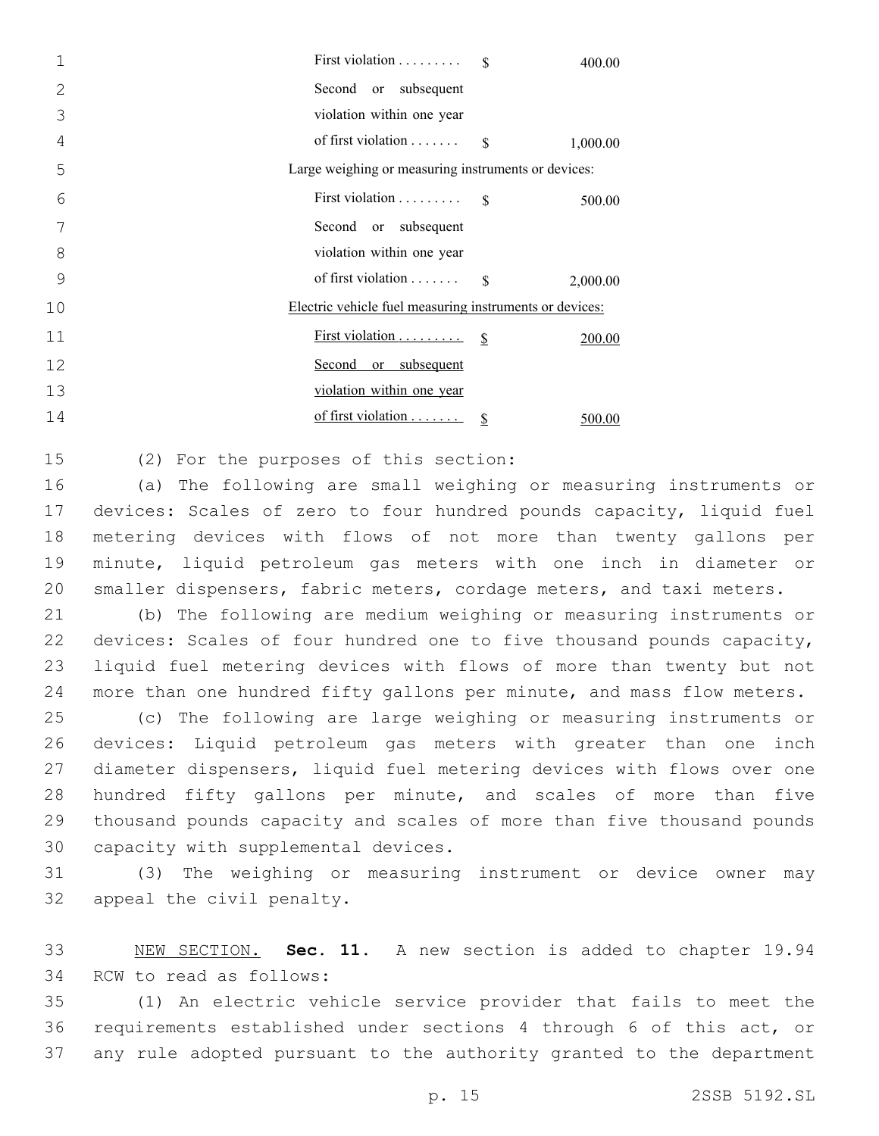|    | First violation<br>400.00                               |  |  |  |  |
|----|---------------------------------------------------------|--|--|--|--|
| 2  | Second or subsequent                                    |  |  |  |  |
| 3  | violation within one year                               |  |  |  |  |
| 4  | of first violation $\dots \dots$ \$<br>1,000.00         |  |  |  |  |
| 5  | Large weighing or measuring instruments or devices:     |  |  |  |  |
| 6  | First violation $\$\$<br>500.00                         |  |  |  |  |
| 7  | Second or subsequent                                    |  |  |  |  |
| 8  | violation within one year                               |  |  |  |  |
| 9  | of first violation $\dots \dots$ \$<br>2,000.00         |  |  |  |  |
| 10 | Electric vehicle fuel measuring instruments or devices: |  |  |  |  |
| 11 | 200.00                                                  |  |  |  |  |
| 12 | Second or subsequent                                    |  |  |  |  |
| 13 | violation within one year                               |  |  |  |  |
| 14 | of first violation<br>500.00                            |  |  |  |  |

15 (2) For the purposes of this section:

 (a) The following are small weighing or measuring instruments or devices: Scales of zero to four hundred pounds capacity, liquid fuel metering devices with flows of not more than twenty gallons per minute, liquid petroleum gas meters with one inch in diameter or smaller dispensers, fabric meters, cordage meters, and taxi meters.

 (b) The following are medium weighing or measuring instruments or devices: Scales of four hundred one to five thousand pounds capacity, liquid fuel metering devices with flows of more than twenty but not more than one hundred fifty gallons per minute, and mass flow meters.

 (c) The following are large weighing or measuring instruments or devices: Liquid petroleum gas meters with greater than one inch diameter dispensers, liquid fuel metering devices with flows over one hundred fifty gallons per minute, and scales of more than five thousand pounds capacity and scales of more than five thousand pounds 30 capacity with supplemental devices.

 (3) The weighing or measuring instrument or device owner may 32 appeal the civil penalty.

 NEW SECTION. **Sec. 11.** A new section is added to chapter 19.94 34 RCW to read as follows:

 (1) An electric vehicle service provider that fails to meet the requirements established under sections 4 through 6 of this act, or any rule adopted pursuant to the authority granted to the department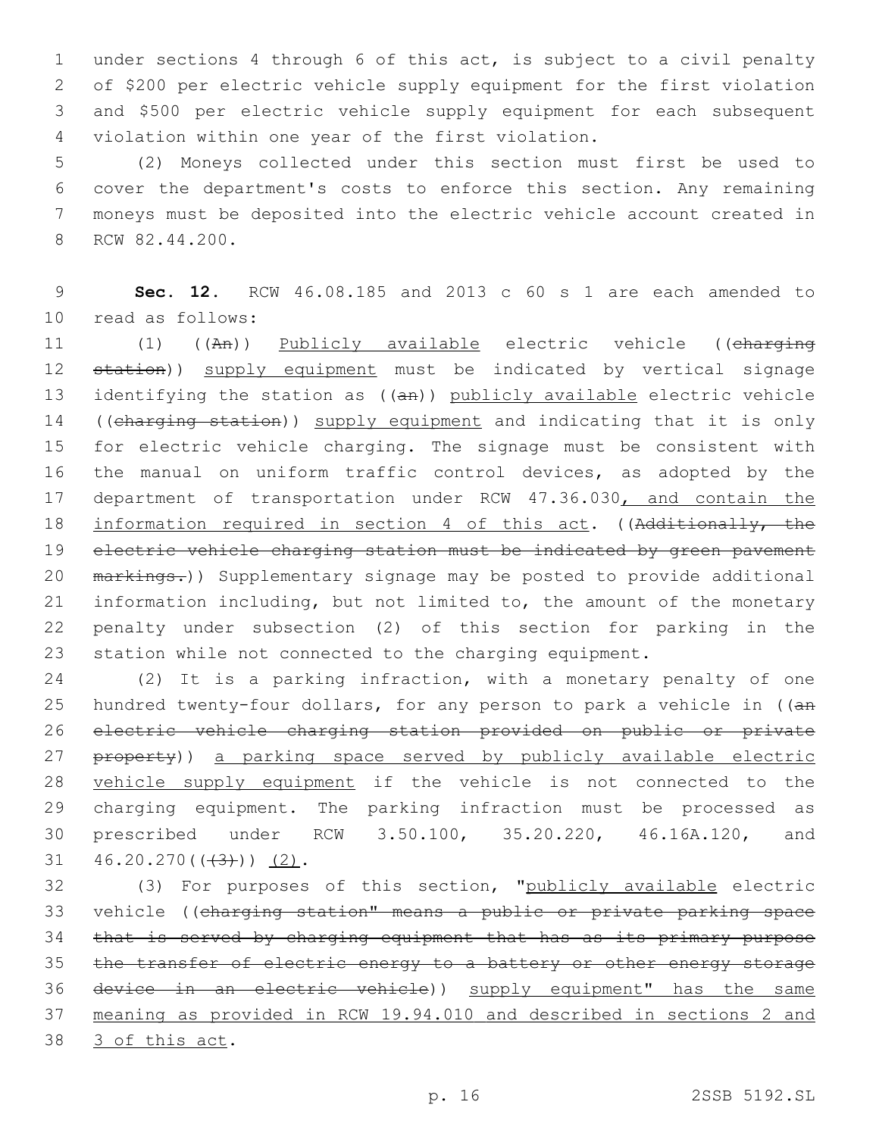under sections 4 through 6 of this act, is subject to a civil penalty of \$200 per electric vehicle supply equipment for the first violation and \$500 per electric vehicle supply equipment for each subsequent 4 violation within one year of the first violation.

 (2) Moneys collected under this section must first be used to cover the department's costs to enforce this section. Any remaining moneys must be deposited into the electric vehicle account created in 8 RCW 82.44.200.

9 **Sec. 12.** RCW 46.08.185 and 2013 c 60 s 1 are each amended to read as follows:10

11 (1) ((An)) Publicly available electric vehicle ((charging 12 station)) supply equipment must be indicated by vertical signage 13 identifying the station as ((an)) publicly available electric vehicle 14 ((charging station)) supply equipment and indicating that it is only 15 for electric vehicle charging. The signage must be consistent with 16 the manual on uniform traffic control devices, as adopted by the 17 department of transportation under RCW 47.36.030, and contain the 18 information required in section 4 of this act. ((Additionally, the 19 electric vehicle charging station must be indicated by green pavement 20 markings.)) Supplementary signage may be posted to provide additional 21 information including, but not limited to, the amount of the monetary 22 penalty under subsection (2) of this section for parking in the 23 station while not connected to the charging equipment.

 (2) It is a parking infraction, with a monetary penalty of one 25 hundred twenty-four dollars, for any person to park a vehicle in ((an electric vehicle charging station provided on public or private 27 property)) a parking space served by publicly available electric vehicle supply equipment if the vehicle is not connected to the charging equipment. The parking infraction must be processed as prescribed under RCW 3.50.100, 35.20.220, 46.16A.120, and  $46.20.270((43))$  (2).

32 (3) For purposes of this section, "publicly available electric 33 vehicle ((charging station" means a public or private parking space 34 that is served by charging equipment that has as its primary purpose 35 the transfer of electric energy to a battery or other energy storage 36 device in an electric vehicle)) supply equipment" has the same 37 meaning as provided in RCW 19.94.010 and described in sections 2 and 38 3 of this act.